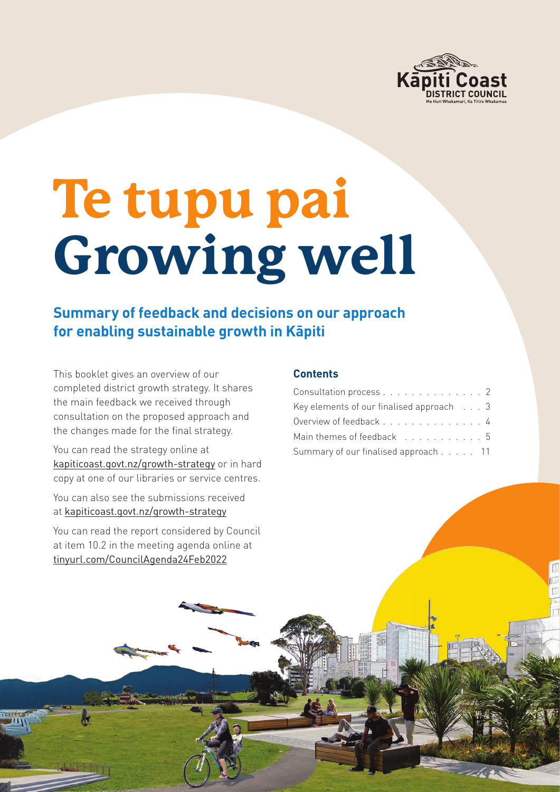

# **Te tupu pai Growing well**

## **Summary of feedback and decisions on our approach for enabling sustainable growth in Kāpiti**

This booklet gives an overview of our completed district growth strategy. It shares the main feedback we received through consultation on the proposed approach and the changes made for the final strategy.

You can read the strategy online at [kapiticoast.govt.nz/growth-strategy](https://www.kapiticoast.govt.nz/growth-strategy) or in hard copy at one of our libraries or service centres.

You can also see the submissions received at [kapiticoast.govt.nz/growth-strategy](https://www.kapiticoast.govt.nz/growth-strategy)

You can read the report considered by Council at item 10.2 in the meeting agenda online at [tinyurl.com/CouncilAgenda24Feb2022](https://tinyurl.com/CouncilAgenda24Feb2022)

#### **Contents**

| Consultation process 2                            |  |  |  |
|---------------------------------------------------|--|--|--|
| Key elements of our finalised approach $\ldots$ 3 |  |  |  |
| Overview of feedback 4                            |  |  |  |
| Main themes of feedback 5                         |  |  |  |
| Summary of our finalised approach 11              |  |  |  |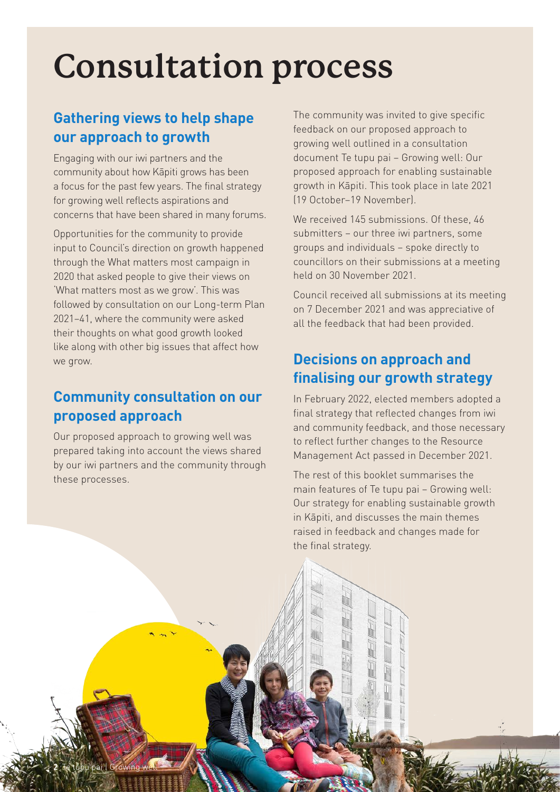# <span id="page-1-0"></span>**Consultation process**

# **Gathering views to help shape our approach to growth**

Engaging with our iwi partners and the community about how Kāpiti grows has been a focus for the past few years. The final strategy for growing well reflects aspirations and concerns that have been shared in many forums.

Opportunities for the community to provide input to Council's direction on growth happened through the What matters most campaign in 2020 that asked people to give their views on 'What matters most as we grow'. This was followed by consultation on our Long-term Plan 2021–41, where the community were asked their thoughts on what good growth looked like along with other big issues that affect how we grow.

### **Community consultation on our proposed approach**

Our proposed approach to growing well was prepared taking into account the views shared by our iwi partners and the community through these processes.

The community was invited to give specific feedback on our proposed approach to growing well outlined in a consultation document Te tupu pai – Growing well: Our proposed approach for enabling sustainable growth in Kāpiti. This took place in late 2021 (19 October–19 November).

We received 145 submissions. Of these, 46 submitters – our three iwi partners, some groups and individuals – spoke directly to councillors on their submissions at a meeting held on 30 November 2021.

Council received all submissions at its meeting on 7 December 2021 and was appreciative of all the feedback that had been provided.

### **Decisions on approach and finalising our growth strategy**

In February 2022, elected members adopted a final strategy that reflected changes from iwi and community feedback, and those necessary to reflect further changes to the Resource Management Act passed in December 2021.

The rest of this booklet summarises the main features of Te tupu pai – Growing well: Our strategy for enabling sustainable growth in Kāpiti, and discusses the main themes raised in feedback and changes made for the final strategy.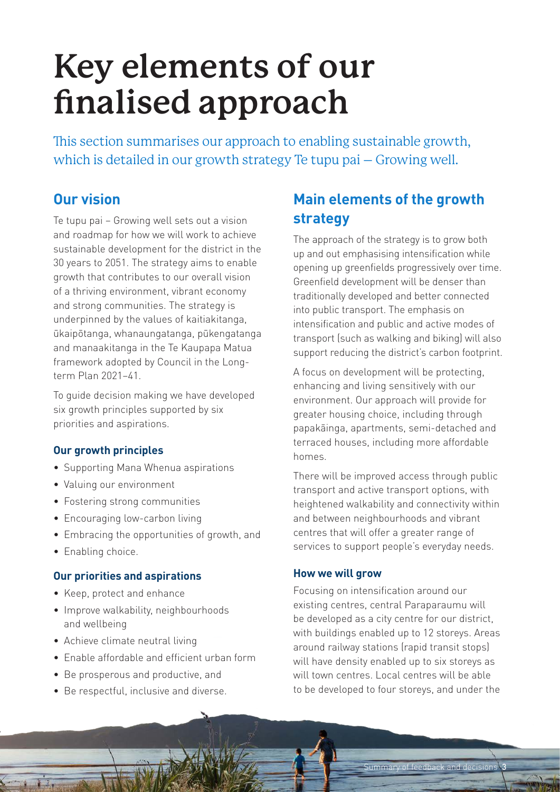# <span id="page-2-0"></span>**Key elements of our finalised approach**

This section summarises our approach to enabling sustainable growth, which is detailed in our growth strategy Te tupu pai – Growing well.

#### **Our vision**

Te tupu pai – Growing well sets out a vision and roadmap for how we will work to achieve sustainable development for the district in the 30 years to 2051. The strategy aims to enable growth that contributes to our overall vision of a thriving environment, vibrant economy and strong communities. The strategy is underpinned by the values of kaitiakitanga, ūkaipōtanga, whanaungatanga, pūkengatanga and manaakitanga in the Te Kaupapa Matua framework adopted by Council in the Longterm Plan 2021–41.

To guide decision making we have developed six growth principles supported by six priorities and aspirations.

#### **Our growth principles**

- Supporting Mana Whenua aspirations
- Valuing our environment
- Fostering strong communities
- Encouraging low-carbon living
- Embracing the opportunities of growth, and
- Enabling choice.

#### **Our priorities and aspirations**

- Keep, protect and enhance
- Improve walkability, neighbourhoods and wellbeing
- Achieve climate neutral living
- Enable affordable and efficient urban form
- Be prosperous and productive, and
- Be respectful, inclusive and diverse.

# **Main elements of the growth strategy**

The approach of the strategy is to grow both up and out emphasising intensification while opening up greenfields progressively over time. Greenfield development will be denser than traditionally developed and better connected into public transport. The emphasis on intensification and public and active modes of transport (such as walking and biking) will also support reducing the district's carbon footprint.

A focus on development will be protecting, enhancing and living sensitively with our environment. Our approach will provide for greater housing choice, including through papakāinga, apartments, semi-detached and terraced houses, including more affordable homes.

There will be improved access through public transport and active transport options, with heightened walkability and connectivity within and between neighbourhoods and vibrant centres that will offer a greater range of services to support people's everyday needs.

#### **How we will grow**

Focusing on intensification around our existing centres, central Paraparaumu will be developed as a city centre for our district, with buildings enabled up to 12 storeys. Areas around railway stations (rapid transit stops) will have density enabled up to six storeys as will town centres. Local centres will be able to be developed to four storeys, and under the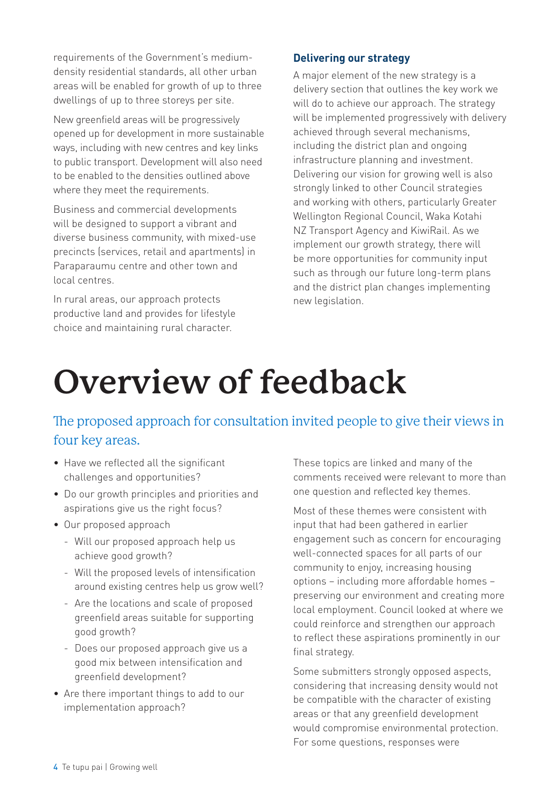<span id="page-3-0"></span>requirements of the Government's mediumdensity residential standards, all other urban areas will be enabled for growth of up to three dwellings of up to three storeys per site.

New greenfield areas will be progressively opened up for development in more sustainable ways, including with new centres and key links to public transport. Development will also need to be enabled to the densities outlined above where they meet the requirements.

Business and commercial developments will be designed to support a vibrant and diverse business community, with mixed-use precincts (services, retail and apartments) in Paraparaumu centre and other town and local centres.

In rural areas, our approach protects productive land and provides for lifestyle choice and maintaining rural character.

#### **Delivering our strategy**

A major element of the new strategy is a delivery section that outlines the key work we will do to achieve our approach. The strategy will be implemented progressively with delivery achieved through several mechanisms, including the district plan and ongoing infrastructure planning and investment. Delivering our vision for growing well is also strongly linked to other Council strategies and working with others, particularly Greater Wellington Regional Council, Waka Kotahi NZ Transport Agency and KiwiRail. As we implement our growth strategy, there will be more opportunities for community input such as through our future long-term plans and the district plan changes implementing new legislation.

# **Overview of feedback**

### The proposed approach for consultation invited people to give their views in four key areas.

- Have we reflected all the significant challenges and opportunities?
- Do our growth principles and priorities and aspirations give us the right focus?
- Our proposed approach
	- Will our proposed approach help us achieve good growth?
	- Will the proposed levels of intensification around existing centres help us grow well?
	- Are the locations and scale of proposed greenfield areas suitable for supporting good growth?
	- Does our proposed approach give us a good mix between intensification and greenfield development?
- Are there important things to add to our implementation approach?

These topics are linked and many of the comments received were relevant to more than one question and reflected key themes.

Most of these themes were consistent with input that had been gathered in earlier engagement such as concern for encouraging well-connected spaces for all parts of our community to enjoy, increasing housing options – including more affordable homes – preserving our environment and creating more local employment. Council looked at where we could reinforce and strengthen our approach to reflect these aspirations prominently in our final strategy.

Some submitters strongly opposed aspects, considering that increasing density would not be compatible with the character of existing areas or that any greenfield development would compromise environmental protection. For some questions, responses were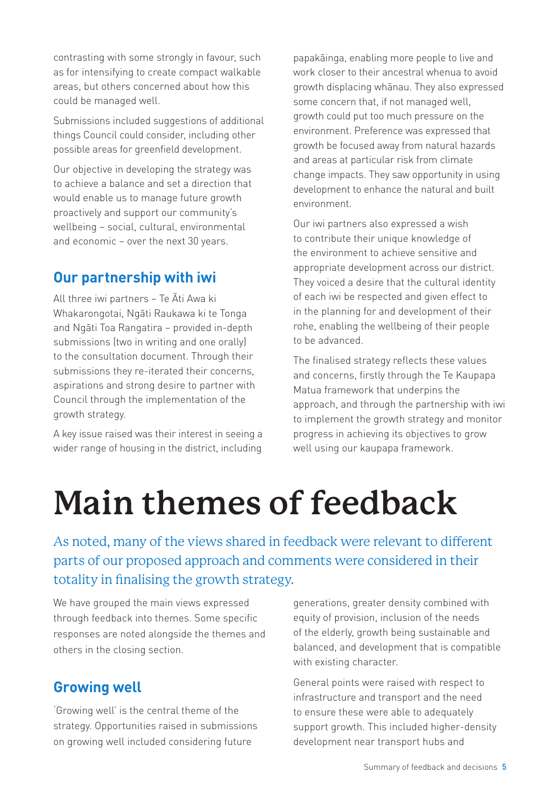<span id="page-4-0"></span>contrasting with some strongly in favour, such as for intensifying to create compact walkable areas, but others concerned about how this could be managed well.

Submissions included suggestions of additional things Council could consider, including other possible areas for greenfield development.

Our objective in developing the strategy was to achieve a balance and set a direction that would enable us to manage future growth proactively and support our community's wellbeing – social, cultural, environmental and economic – over the next 30 years.

#### **Our partnership with iwi**

All three iwi partners – Te Āti Awa ki Whakarongotai, Ngāti Raukawa ki te Tonga and Ngāti Toa Rangatira – provided in-depth submissions (two in writing and one orally) to the consultation document. Through their submissions they re-iterated their concerns, aspirations and strong desire to partner with Council through the implementation of the growth strategy.

A key issue raised was their interest in seeing a wider range of housing in the district, including papakāinga, enabling more people to live and work closer to their ancestral whenua to avoid growth displacing whānau. They also expressed some concern that, if not managed well, growth could put too much pressure on the environment. Preference was expressed that growth be focused away from natural hazards and areas at particular risk from climate change impacts. They saw opportunity in using development to enhance the natural and built environment.

Our iwi partners also expressed a wish to contribute their unique knowledge of the environment to achieve sensitive and appropriate development across our district. They voiced a desire that the cultural identity of each iwi be respected and given effect to in the planning for and development of their rohe, enabling the wellbeing of their people to be advanced.

The finalised strategy reflects these values and concerns, firstly through the Te Kaupapa Matua framework that underpins the approach, and through the partnership with iwi to implement the growth strategy and monitor progress in achieving its objectives to grow well using our kaupapa framework.

# **Main themes of feedback**

As noted, many of the views shared in feedback were relevant to different parts of our proposed approach and comments were considered in their totality in finalising the growth strategy.

We have grouped the main views expressed through feedback into themes. Some specific responses are noted alongside the themes and others in the closing section.

#### **Growing well**

'Growing well' is the central theme of the strategy. Opportunities raised in submissions on growing well included considering future

generations, greater density combined with equity of provision, inclusion of the needs of the elderly, growth being sustainable and balanced, and development that is compatible with existing character.

General points were raised with respect to infrastructure and transport and the need to ensure these were able to adequately support growth. This included higher-density development near transport hubs and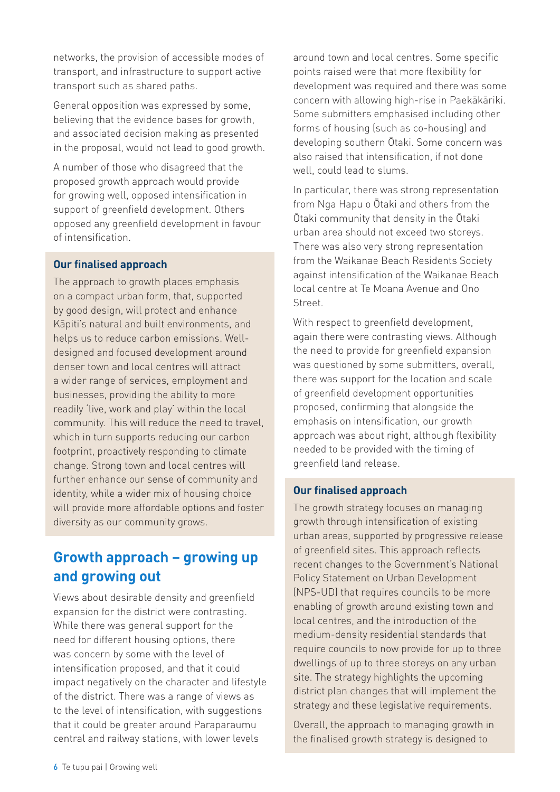networks, the provision of accessible modes of transport, and infrastructure to support active transport such as shared paths.

General opposition was expressed by some, believing that the evidence bases for growth, and associated decision making as presented in the proposal, would not lead to good growth.

A number of those who disagreed that the proposed growth approach would provide for growing well, opposed intensification in support of greenfield development. Others opposed any greenfield development in favour of intensification.

#### **Our finalised approach**

The approach to growth places emphasis on a compact urban form, that, supported by good design, will protect and enhance Kāpiti's natural and built environments, and helps us to reduce carbon emissions. Welldesigned and focused development around denser town and local centres will attract a wider range of services, employment and businesses, providing the ability to more readily 'live, work and play' within the local community. This will reduce the need to travel, which in turn supports reducing our carbon footprint, proactively responding to climate change. Strong town and local centres will further enhance our sense of community and identity, while a wider mix of housing choice will provide more affordable options and foster diversity as our community grows.

#### **Growth approach – growing up and growing out**

Views about desirable density and greenfield expansion for the district were contrasting. While there was general support for the need for different housing options, there was concern by some with the level of intensification proposed, and that it could impact negatively on the character and lifestyle of the district. There was a range of views as to the level of intensification, with suggestions that it could be greater around Paraparaumu central and railway stations, with lower levels

around town and local centres. Some specific points raised were that more flexibility for development was required and there was some concern with allowing high-rise in Paekākāriki. Some submitters emphasised including other forms of housing (such as co-housing) and developing southern Ōtaki. Some concern was also raised that intensification, if not done well, could lead to slums.

In particular, there was strong representation from Nga Hapu o Ōtaki and others from the Ōtaki community that density in the Ōtaki urban area should not exceed two storeys. There was also very strong representation from the Waikanae Beach Residents Society against intensification of the Waikanae Beach local centre at Te Moana Avenue and Ono Street.

With respect to greenfield development, again there were contrasting views. Although the need to provide for greenfield expansion was questioned by some submitters, overall, there was support for the location and scale of greenfield development opportunities proposed, confirming that alongside the emphasis on intensification, our growth approach was about right, although flexibility needed to be provided with the timing of greenfield land release.

#### **Our finalised approach**

The growth strategy focuses on managing growth through intensification of existing urban areas, supported by progressive release of greenfield sites. This approach reflects recent changes to the Government's National Policy Statement on Urban Development (NPS-UD) that requires councils to be more enabling of growth around existing town and local centres, and the introduction of the medium-density residential standards that require councils to now provide for up to three dwellings of up to three storeys on any urban site. The strategy highlights the upcoming district plan changes that will implement the strategy and these legislative requirements.

Overall, the approach to managing growth in the finalised growth strategy is designed to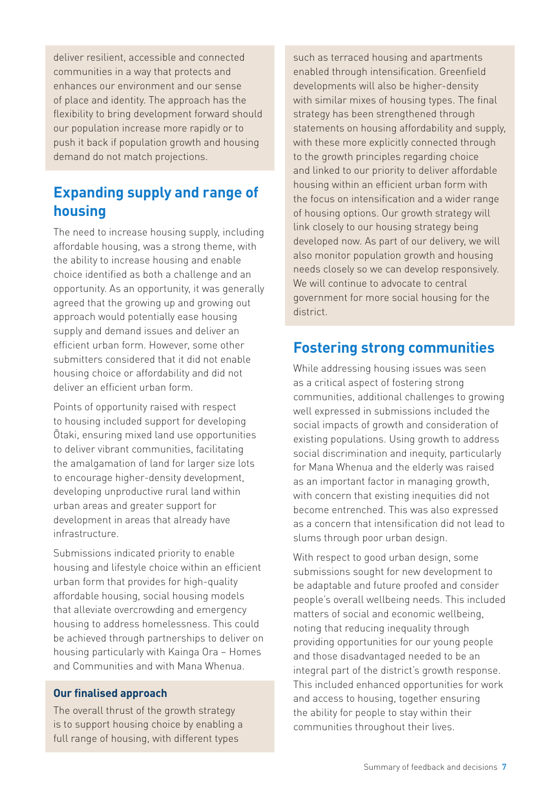deliver resilient, accessible and connected communities in a way that protects and enhances our environment and our sense of place and identity. The approach has the flexibility to bring development forward should our population increase more rapidly or to push it back if population growth and housing demand do not match projections.

# **Expanding supply and range of housing**

The need to increase housing supply, including affordable housing, was a strong theme, with the ability to increase housing and enable choice identified as both a challenge and an opportunity. As an opportunity, it was generally agreed that the growing up and growing out approach would potentially ease housing supply and demand issues and deliver an efficient urban form. However, some other submitters considered that it did not enable housing choice or affordability and did not deliver an efficient urban form.

Points of opportunity raised with respect to housing included support for developing Ōtaki, ensuring mixed land use opportunities to deliver vibrant communities, facilitating the amalgamation of land for larger size lots to encourage higher-density development, developing unproductive rural land within urban areas and greater support for development in areas that already have infrastructure.

Submissions indicated priority to enable housing and lifestyle choice within an efficient urban form that provides for high-quality affordable housing, social housing models that alleviate overcrowding and emergency housing to address homelessness. This could be achieved through partnerships to deliver on housing particularly with Kainga Ora – Homes and Communities and with Mana Whenua.

#### **Our finalised approach**

The overall thrust of the growth strategy is to support housing choice by enabling a full range of housing, with different types

such as terraced housing and apartments enabled through intensification. Greenfield developments will also be higher-density with similar mixes of housing types. The final strategy has been strengthened through statements on housing affordability and supply, with these more explicitly connected through to the growth principles regarding choice and linked to our priority to deliver affordable housing within an efficient urban form with the focus on intensification and a wider range of housing options. Our growth strategy will link closely to our housing strategy being developed now. As part of our delivery, we will also monitor population growth and housing needs closely so we can develop responsively. We will continue to advocate to central government for more social housing for the district.

#### **Fostering strong communities**

While addressing housing issues was seen as a critical aspect of fostering strong communities, additional challenges to growing well expressed in submissions included the social impacts of growth and consideration of existing populations. Using growth to address social discrimination and inequity, particularly for Mana Whenua and the elderly was raised as an important factor in managing growth, with concern that existing inequities did not become entrenched. This was also expressed as a concern that intensification did not lead to slums through poor urban design.

With respect to good urban design, some submissions sought for new development to be adaptable and future proofed and consider people's overall wellbeing needs. This included matters of social and economic wellbeing, noting that reducing inequality through providing opportunities for our young people and those disadvantaged needed to be an integral part of the district's growth response. This included enhanced opportunities for work and access to housing, together ensuring the ability for people to stay within their communities throughout their lives.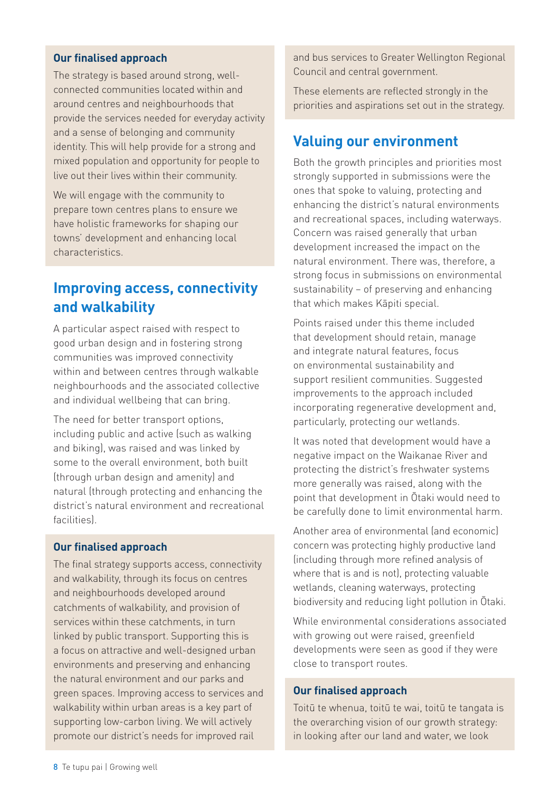#### **Our finalised approach**

The strategy is based around strong, wellconnected communities located within and around centres and neighbourhoods that provide the services needed for everyday activity and a sense of belonging and community identity. This will help provide for a strong and mixed population and opportunity for people to live out their lives within their community.

We will engage with the community to prepare town centres plans to ensure we have holistic frameworks for shaping our towns' development and enhancing local characteristics.

### **Improving access, connectivity and walkability**

A particular aspect raised with respect to good urban design and in fostering strong communities was improved connectivity within and between centres through walkable neighbourhoods and the associated collective and individual wellbeing that can bring.

The need for better transport options, including public and active (such as walking and biking), was raised and was linked by some to the overall environment, both built (through urban design and amenity) and natural (through protecting and enhancing the district's natural environment and recreational facilities).

#### **Our finalised approach**

The final strategy supports access, connectivity and walkability, through its focus on centres and neighbourhoods developed around catchments of walkability, and provision of services within these catchments, in turn linked by public transport. Supporting this is a focus on attractive and well-designed urban environments and preserving and enhancing the natural environment and our parks and green spaces. Improving access to services and walkability within urban areas is a key part of supporting low-carbon living. We will actively promote our district's needs for improved rail

and bus services to Greater Wellington Regional Council and central government.

These elements are reflected strongly in the priorities and aspirations set out in the strategy.

#### **Valuing our environment**

Both the growth principles and priorities most strongly supported in submissions were the ones that spoke to valuing, protecting and enhancing the district's natural environments and recreational spaces, including waterways. Concern was raised generally that urban development increased the impact on the natural environment. There was, therefore, a strong focus in submissions on environmental sustainability – of preserving and enhancing that which makes Kāpiti special.

Points raised under this theme included that development should retain, manage and integrate natural features, focus on environmental sustainability and support resilient communities. Suggested improvements to the approach included incorporating regenerative development and, particularly, protecting our wetlands.

It was noted that development would have a negative impact on the Waikanae River and protecting the district's freshwater systems more generally was raised, along with the point that development in Ōtaki would need to be carefully done to limit environmental harm.

Another area of environmental (and economic) concern was protecting highly productive land (including through more refined analysis of where that is and is not), protecting valuable wetlands, cleaning waterways, protecting biodiversity and reducing light pollution in Ōtaki.

While environmental considerations associated with growing out were raised, greenfield developments were seen as good if they were close to transport routes.

#### **Our finalised approach**

Toitū te whenua, toitū te wai, toitū te tangata is the overarching vision of our growth strategy: in looking after our land and water, we look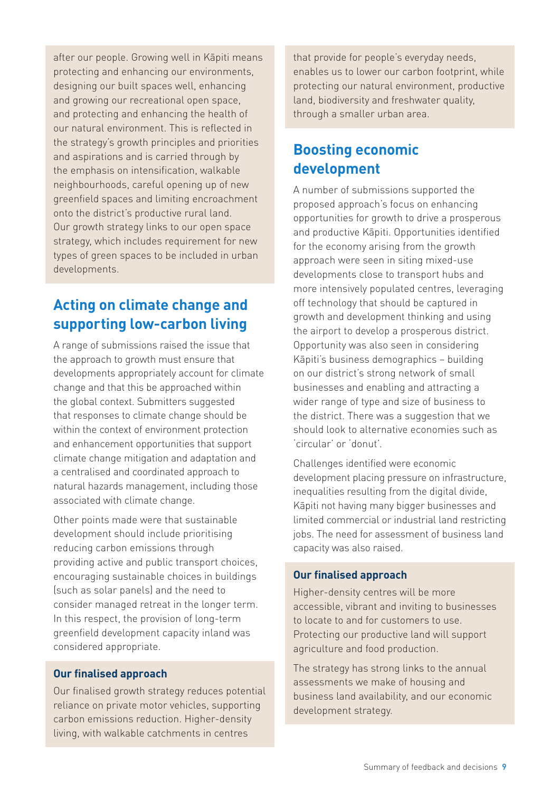after our people. Growing well in Kāpiti means protecting and enhancing our environments, designing our built spaces well, enhancing and growing our recreational open space, and protecting and enhancing the health of our natural environment. This is reflected in the strategy's growth principles and priorities and aspirations and is carried through by the emphasis on intensification, walkable neighbourhoods, careful opening up of new greenfield spaces and limiting encroachment onto the district's productive rural land. Our growth strategy links to our open space strategy, which includes requirement for new types of green spaces to be included in urban developments.

# **Acting on climate change and supporting low-carbon living**

A range of submissions raised the issue that the approach to growth must ensure that developments appropriately account for climate change and that this be approached within the global context. Submitters suggested that responses to climate change should be within the context of environment protection and enhancement opportunities that support climate change mitigation and adaptation and a centralised and coordinated approach to natural hazards management, including those associated with climate change.

Other points made were that sustainable development should include prioritising reducing carbon emissions through providing active and public transport choices, encouraging sustainable choices in buildings (such as solar panels) and the need to consider managed retreat in the longer term. In this respect, the provision of long-term greenfield development capacity inland was considered appropriate.

#### **Our finalised approach**

Our finalised growth strategy reduces potential reliance on private motor vehicles, supporting carbon emissions reduction. Higher-density living, with walkable catchments in centres

that provide for people's everyday needs, enables us to lower our carbon footprint, while protecting our natural environment, productive land, biodiversity and freshwater quality, through a smaller urban area.

# **Boosting economic development**

A number of submissions supported the proposed approach's focus on enhancing opportunities for growth to drive a prosperous and productive Kāpiti. Opportunities identified for the economy arising from the growth approach were seen in siting mixed-use developments close to transport hubs and more intensively populated centres, leveraging off technology that should be captured in growth and development thinking and using the airport to develop a prosperous district. Opportunity was also seen in considering Kāpiti's business demographics – building on our district's strong network of small businesses and enabling and attracting a wider range of type and size of business to the district. There was a suggestion that we should look to alternative economies such as 'circular' or 'donut'.

Challenges identified were economic development placing pressure on infrastructure, inequalities resulting from the digital divide, Kāpiti not having many bigger businesses and limited commercial or industrial land restricting jobs. The need for assessment of business land capacity was also raised.

#### **Our finalised approach**

Higher-density centres will be more accessible, vibrant and inviting to businesses to locate to and for customers to use. Protecting our productive land will support agriculture and food production.

The strategy has strong links to the annual assessments we make of housing and business land availability, and our economic development strategy.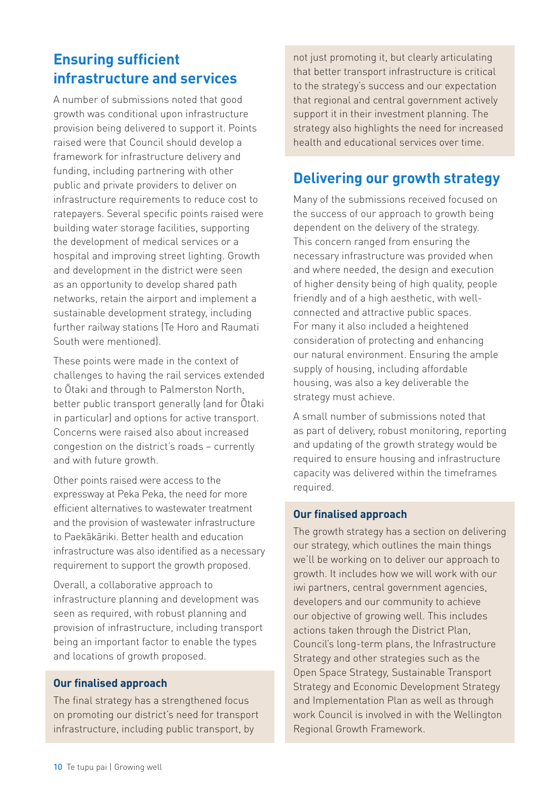# **Ensuring sufficient infrastructure and services**

A number of submissions noted that good growth was conditional upon infrastructure provision being delivered to support it. Points raised were that Council should develop a framework for infrastructure delivery and funding, including partnering with other public and private providers to deliver on infrastructure requirements to reduce cost to ratepayers. Several specific points raised were building water storage facilities, supporting the development of medical services or a hospital and improving street lighting. Growth and development in the district were seen as an opportunity to develop shared path networks, retain the airport and implement a sustainable development strategy, including further railway stations (Te Horo and Raumati South were mentioned).

These points were made in the context of challenges to having the rail services extended to Ōtaki and through to Palmerston North, better public transport generally (and for Ōtaki in particular) and options for active transport. Concerns were raised also about increased congestion on the district's roads – currently and with future growth.

Other points raised were access to the expressway at Peka Peka, the need for more efficient alternatives to wastewater treatment and the provision of wastewater infrastructure to Paekākāriki. Better health and education infrastructure was also identified as a necessary requirement to support the growth proposed.

Overall, a collaborative approach to infrastructure planning and development was seen as required, with robust planning and provision of infrastructure, including transport being an important factor to enable the types and locations of growth proposed.

#### **Our finalised approach**

The final strategy has a strengthened focus on promoting our district's need for transport infrastructure, including public transport, by

not just promoting it, but clearly articulating that better transport infrastructure is critical to the strategy's success and our expectation that regional and central government actively support it in their investment planning. The strategy also highlights the need for increased health and educational services over time.

#### **Delivering our growth strategy**

Many of the submissions received focused on the success of our approach to growth being dependent on the delivery of the strategy. This concern ranged from ensuring the necessary infrastructure was provided when and where needed, the design and execution of higher density being of high quality, people friendly and of a high aesthetic, with wellconnected and attractive public spaces. For many it also included a heightened consideration of protecting and enhancing our natural environment. Ensuring the ample supply of housing, including affordable housing, was also a key deliverable the strategy must achieve.

A small number of submissions noted that as part of delivery, robust monitoring, reporting and updating of the growth strategy would be required to ensure housing and infrastructure capacity was delivered within the timeframes required.

#### **Our finalised approach**

The growth strategy has a section on delivering our strategy, which outlines the main things we'll be working on to deliver our approach to growth. It includes how we will work with our iwi partners, central government agencies, developers and our community to achieve our objective of growing well. This includes actions taken through the District Plan, Council's long-term plans, the Infrastructure Strategy and other strategies such as the Open Space Strategy, Sustainable Transport Strategy and Economic Development Strategy and Implementation Plan as well as through work Council is involved in with the Wellington Regional Growth Framework.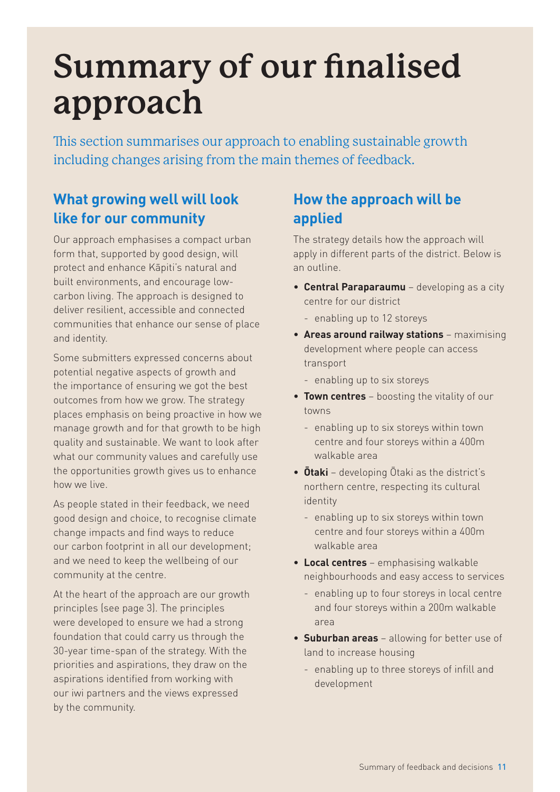# <span id="page-10-0"></span>**Summary of our finalised approach**

This section summarises our approach to enabling sustainable growth including changes arising from the main themes of feedback.

# **What growing well will look like for our community**

Our approach emphasises a compact urban form that, supported by good design, will protect and enhance Kāpiti's natural and built environments, and encourage lowcarbon living. The approach is designed to deliver resilient, accessible and connected communities that enhance our sense of place and identity.

Some submitters expressed concerns about potential negative aspects of growth and the importance of ensuring we got the best outcomes from how we grow. The strategy places emphasis on being proactive in how we manage growth and for that growth to be high quality and sustainable. We want to look after what our community values and carefully use the opportunities growth gives us to enhance how we live.

As people stated in their feedback, we need good design and choice, to recognise climate change impacts and find ways to reduce our carbon footprint in all our development; and we need to keep the wellbeing of our community at the centre.

At the heart of the approach are our growth principles (see page 3). The principles were developed to ensure we had a strong foundation that could carry us through the 30-year time-span of the strategy. With the priorities and aspirations, they draw on the aspirations identified from working with our iwi partners and the views expressed by the community.

# **How the approach will be applied**

The strategy details how the approach will apply in different parts of the district. Below is an outline.

- **Central Paraparaumu** developing as a city centre for our district
	- enabling up to 12 storeys
- **Areas around railway stations** maximising development where people can access transport
	- enabling up to six storeys
- **Town centres** boosting the vitality of our towns
	- enabling up to six storeys within town centre and four storeys within a 400m walkable area
- **Ōtaki** developing Ōtaki as the district's northern centre, respecting its cultural identity
	- enabling up to six storeys within town centre and four storeys within a 400m walkable area
- **Local centres** emphasising walkable neighbourhoods and easy access to services
	- enabling up to four storeys in local centre and four storeys within a 200m walkable area
- **Suburban areas** allowing for better use of land to increase housing
	- enabling up to three storeys of infill and development